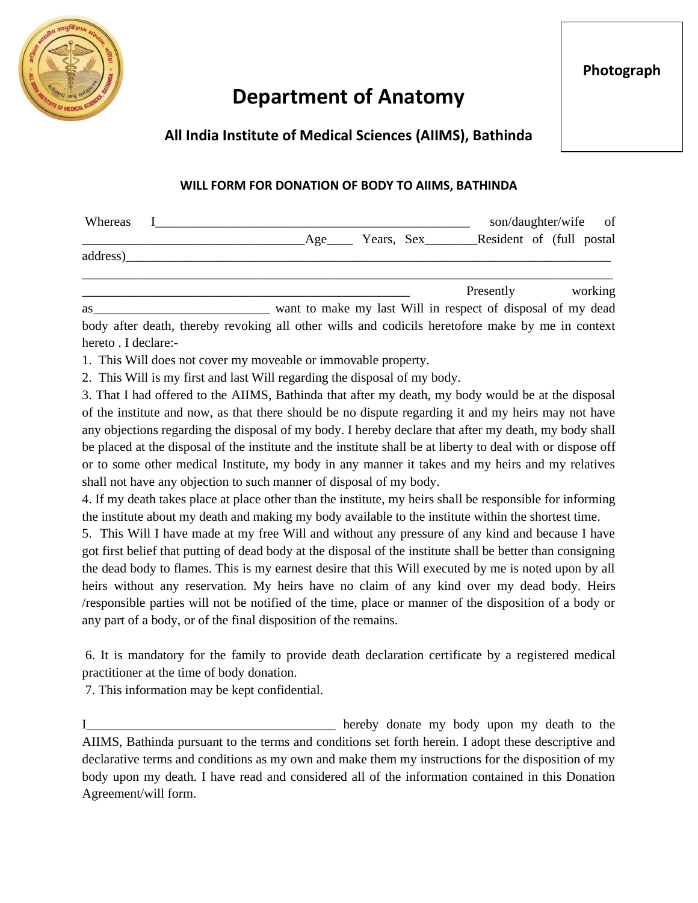

## **Department of Anatomy**

## **All India Institute of Medical Sciences (AIIMS), Bathinda**

## **WILL FORM FOR DONATION OF BODY TO AIIMS, BATHINDA**

| Whereas  |  | son/daughter/wife of                                        |                             |                          |  |         |
|----------|--|-------------------------------------------------------------|-----------------------------|--------------------------|--|---------|
|          |  |                                                             | Age_______ Years, Sex______ | Resident of (full postal |  |         |
| address) |  |                                                             |                             |                          |  |         |
|          |  |                                                             |                             | Presently                |  | working |
| as       |  | want to make my last Will in respect of disposal of my dead |                             |                          |  |         |

body after death, thereby revoking all other wills and codicils heretofore make by me in context hereto . I declare:-

1. This Will does not cover my moveable or immovable property.

2. This Will is my first and last Will regarding the disposal of my body.

3. That I had offered to the AIIMS, Bathinda that after my death, my body would be at the disposal of the institute and now, as that there should be no dispute regarding it and my heirs may not have any objections regarding the disposal of my body. I hereby declare that after my death, my body shall be placed at the disposal of the institute and the institute shall be at liberty to deal with or dispose off or to some other medical Institute, my body in any manner it takes and my heirs and my relatives shall not have any objection to such manner of disposal of my body.

4. If my death takes place at place other than the institute, my heirs shall be responsible for informing the institute about my death and making my body available to the institute within the shortest time.

5. This Will I have made at my free Will and without any pressure of any kind and because I have got first belief that putting of dead body at the disposal of the institute shall be better than consigning the dead body to flames. This is my earnest desire that this Will executed by me is noted upon by all heirs without any reservation. My heirs have no claim of any kind over my dead body. Heirs /responsible parties will not be notified of the time, place or manner of the disposition of a body or any part of a body, or of the final disposition of the remains.

6. It is mandatory for the family to provide death declaration certificate by a registered medical practitioner at the time of body donation.

7. This information may be kept confidential.

I\_\_\_\_\_\_\_\_\_\_\_\_\_\_\_\_\_\_\_\_\_\_\_\_\_\_\_\_\_\_\_\_\_\_\_\_\_\_ hereby donate my body upon my death to the AIIMS, Bathinda pursuant to the terms and conditions set forth herein. I adopt these descriptive and declarative terms and conditions as my own and make them my instructions for the disposition of my body upon my death. I have read and considered all of the information contained in this Donation Agreement/will form.